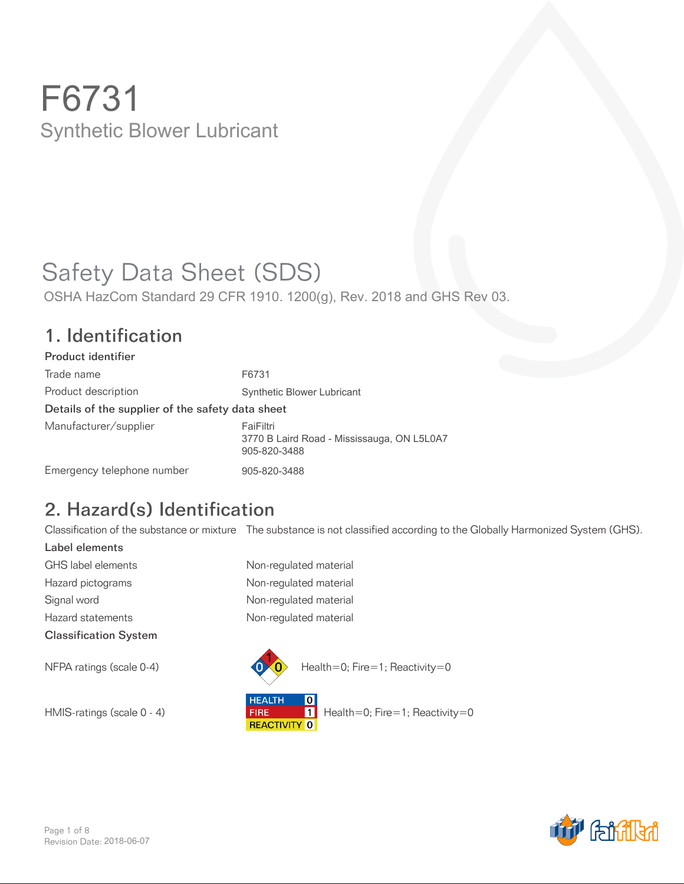# Safety Data Sheet (SDS)

OSHA HazCom Standard 29 CFR 1910. 1200(g), Rev. 2018 and GHS Rev 03.

#### 1. Identification

| Product identifier                               |                                                                         |
|--------------------------------------------------|-------------------------------------------------------------------------|
| Trade name                                       | F6731                                                                   |
| Product description                              | <b>Synthetic Blower Lubricant</b>                                       |
| Details of the supplier of the safety data sheet |                                                                         |
| Manufacturer/supplier                            | FaiFiltri<br>3770 B Laird Road - Mississauga, ON L5L0A7<br>905-820-3488 |
| Emergency telephone number                       | 905-820-3488                                                            |

## 2. Hazard(s) Identification

Classification of the substance or mixture The substance is not classified according to the Globally Harmonized System (GHS).

Label elements GHS label elements Non-regulated material Hazard pictograms **Non-regulated material** Signal word **Non-regulated material** Hazard statements **Non-regulated material** Classification System



**HEALTH**  $\overline{\mathbf{0}}$ HMIS-ratings (scale 0 - 4) **FIRE** Health=0; Fire=1; Reactivity=0<br>REACTIVITY 0

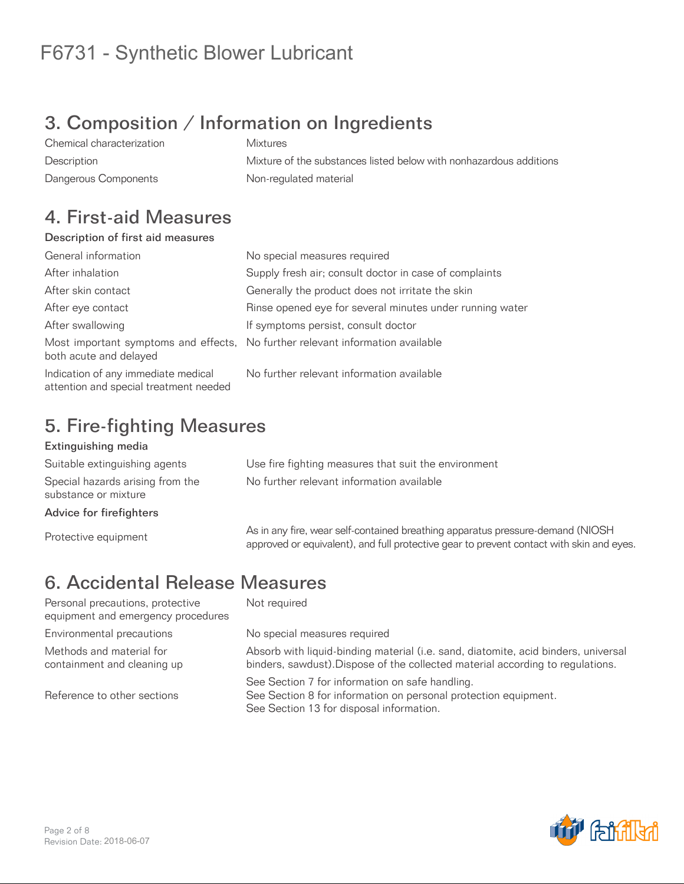## 3. Composition / Information on Ingredients

Chemical characterization Mixtures Description Mixture of the substances listed below with nonhazardous additions Dangerous Components **Non-regulated material** 

#### 4. First-aid Measures

#### Description of first aid measures

| General information                                                           | No special measures required                                                   |
|-------------------------------------------------------------------------------|--------------------------------------------------------------------------------|
| After inhalation                                                              | Supply fresh air; consult doctor in case of complaints                         |
| After skin contact                                                            | Generally the product does not irritate the skin                               |
| After eye contact                                                             | Rinse opened eye for several minutes under running water                       |
| After swallowing                                                              | If symptoms persist, consult doctor                                            |
| both acute and delayed                                                        | Most important symptoms and effects, No further relevant information available |
| Indication of any immediate medical<br>attention and special treatment needed | No further relevant information available                                      |

### 5. Fire-fighting Measures

#### Extinguishing media

Suitable extinguishing agents Use fire fighting measures that suit the environment Special hazards arising from the substance or mixture

Advice for firefighters

No further relevant information available

As in any fire, wear self-contained breathing apparatus pressure-demand (NIOSH)<br>
Protective equipment<br>
Protective equipment approved or equivalent), and full protective gear to prevent contact with skin and eyes.

## 6. Accidental Release Measures

Personal precautions, protective equipment and emergency procedures Environmental precautions entity No special measures required Methods and material for containment and cleaning up

Reference to other sections

Not required

Absorb with liquid-binding material (i.e. sand, diatomite, acid binders, universal binders, sawdust).Dispose of the collected material according to regulations.

See Section 7 for information on safe handling. See Section 8 for information on personal protection equipment. See Section 13 for disposal information.

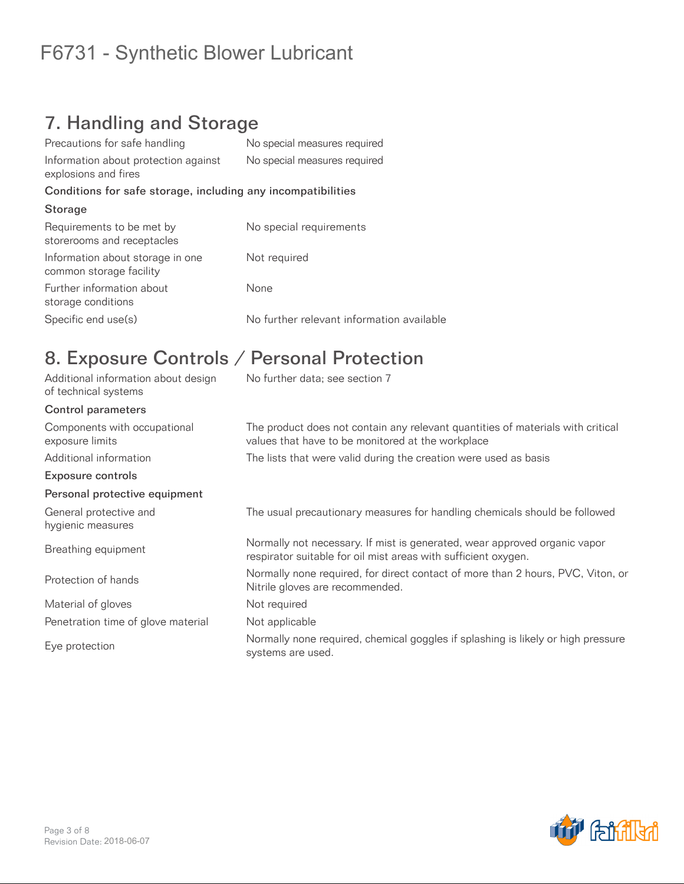### 7. Handling and Storage

| Precautions for safe handling                                | No special measures required              |
|--------------------------------------------------------------|-------------------------------------------|
| Information about protection against<br>explosions and fires | No special measures required              |
| Conditions for safe storage, including any incompatibilities |                                           |
| Storage                                                      |                                           |
| Requirements to be met by<br>storerooms and receptacles      | No special requirements                   |
| Information about storage in one<br>common storage facility  | Not required                              |
| Further information about<br>storage conditions              | None                                      |
| Specific end use(s)                                          | No further relevant information available |

### 8. Exposure Controls / Personal Protection

| Additional information about design<br>of technical systems | No further data; see section 7                                                                                                              |
|-------------------------------------------------------------|---------------------------------------------------------------------------------------------------------------------------------------------|
| <b>Control parameters</b>                                   |                                                                                                                                             |
| Components with occupational<br>exposure limits             | The product does not contain any relevant quantities of materials with critical<br>values that have to be monitored at the workplace        |
| Additional information                                      | The lists that were valid during the creation were used as basis                                                                            |
| <b>Exposure controls</b>                                    |                                                                                                                                             |
| Personal protective equipment                               |                                                                                                                                             |
| General protective and<br>hygienic measures                 | The usual precautionary measures for handling chemicals should be followed                                                                  |
| Breathing equipment                                         | Normally not necessary. If mist is generated, wear approved organic vapor<br>respirator suitable for oil mist areas with sufficient oxygen. |
| Protection of hands                                         | Normally none required, for direct contact of more than 2 hours, PVC, Viton, or<br>Nitrile gloves are recommended.                          |
| Material of gloves                                          | Not required                                                                                                                                |
| Penetration time of glove material                          | Not applicable                                                                                                                              |
| Eye protection                                              | Normally none required, chemical goggles if splashing is likely or high pressure<br>systems are used.                                       |

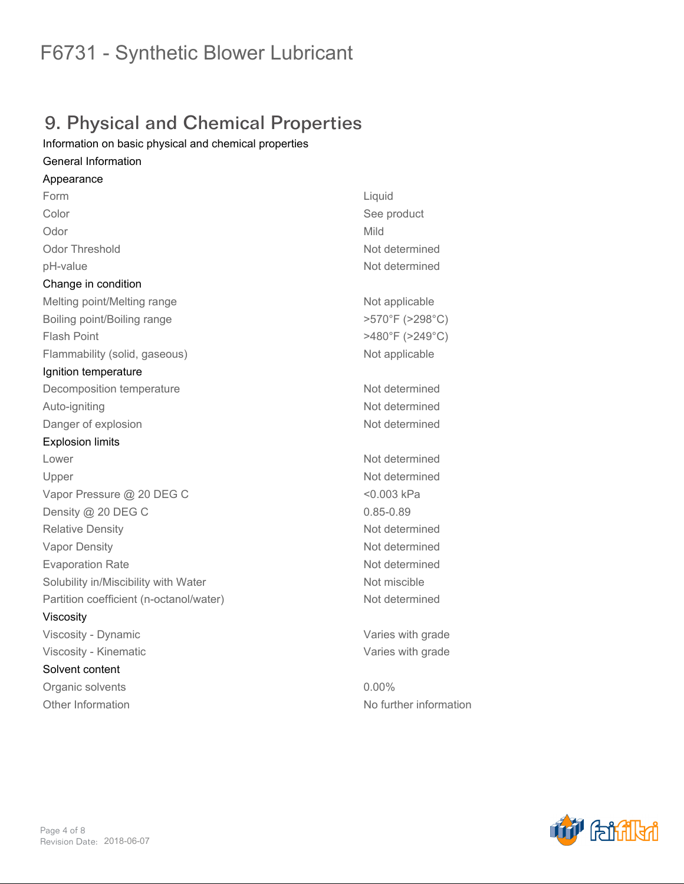### 9. Physical and Chemical Properties

*Information on basic physical and chemical properties*

#### *General Information*

*Appearance Form Liquid Color See product Odor Mild Odor Threshold Not determined pH-value Not determined Change in condition* **Melting point/Melting range <b>Not applicable Not applicable** *Boiling point/Boiling range >570°F (>298°C) Flash Point >480°F (>249°C) Flammability (solid, gaseous) Not applicable Ignition temperature Decomposition temperature Not determined Auto-igniting Not determined* **Danger of explosion** *Not determined Explosion limits Lower Not determined Upper Not determined Vapor Pressure @ 20 DEG C <0.003 kPa Density @ 20 DEG C 0.85-0.89 Relative Density Not determined Vapor Density Not determined Evaporation Rate Not determined Solubility in/Miscibility with Water Not miscible Partition coefficient (n-octanol/water) Not determined Viscosity Viscosity - Dynamic Varies with grade Viscosity - Kinematic Varies with grade Solvent content Organic solvents 0.00% Other Information No further information*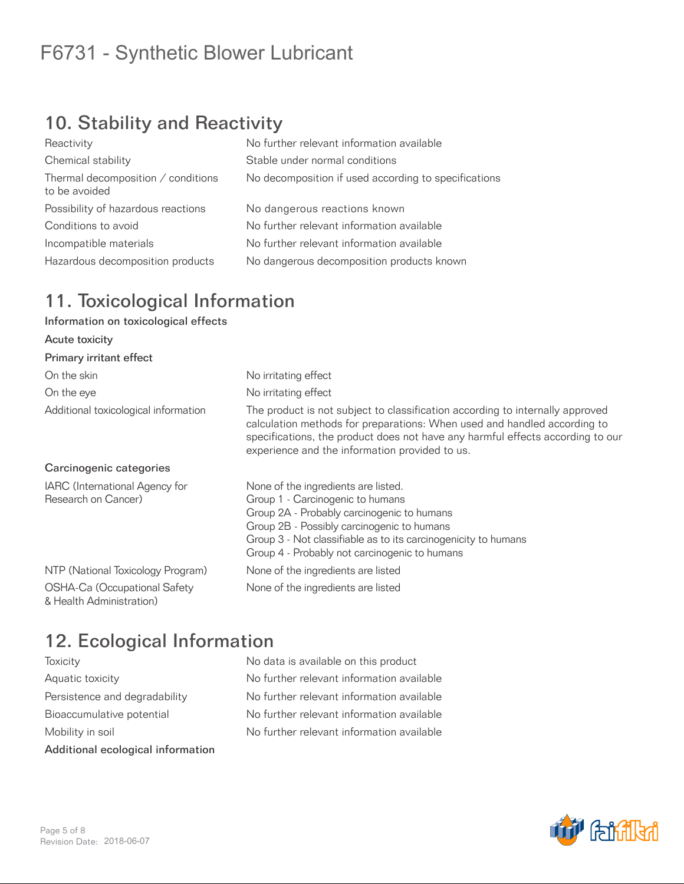## 10. Stability and Reactivity

| No further relevant information available            |
|------------------------------------------------------|
| Stable under normal conditions                       |
| No decomposition if used according to specifications |
| No dangerous reactions known                         |
| No further relevant information available            |
| No further relevant information available            |
| No dangerous decomposition products known            |
|                                                      |

### 11. Toxicological Information

#### Information on toxicological effects

| Acute toxicity                                           |                                                                                                                                                                                                                                                                                               |
|----------------------------------------------------------|-----------------------------------------------------------------------------------------------------------------------------------------------------------------------------------------------------------------------------------------------------------------------------------------------|
| Primary irritant effect                                  |                                                                                                                                                                                                                                                                                               |
| On the skin                                              | No irritating effect                                                                                                                                                                                                                                                                          |
| On the eye                                               | No irritating effect                                                                                                                                                                                                                                                                          |
| Additional toxicological information                     | The product is not subject to classification according to internally approved<br>calculation methods for preparations: When used and handled according to<br>specifications, the product does not have any harmful effects according to our<br>experience and the information provided to us. |
| Carcinogenic categories                                  |                                                                                                                                                                                                                                                                                               |
| IARC (International Agency for<br>Research on Cancer)    | None of the ingredients are listed.<br>Group 1 - Carcinogenic to humans<br>Group 2A - Probably carcinogenic to humans<br>Group 2B - Possibly carcinogenic to humans<br>Group 3 - Not classifiable as to its carcinogenicity to humans<br>Group 4 - Probably not carcinogenic to humans        |
| NTP (National Toxicology Program)                        | None of the ingredients are listed                                                                                                                                                                                                                                                            |
| OSHA-Ca (Occupational Safety<br>& Health Administration) | None of the ingredients are listed                                                                                                                                                                                                                                                            |

### 12. Ecological Information

| Additional ecological information |
|-----------------------------------|
| Mobility in soil                  |
| Bioaccumulative potential         |
| Persistence and degradability     |
| Aquatic toxicity                  |
| loxicity                          |

No data is available on this product No further relevant information available No further relevant information available No further relevant information available No further relevant information available

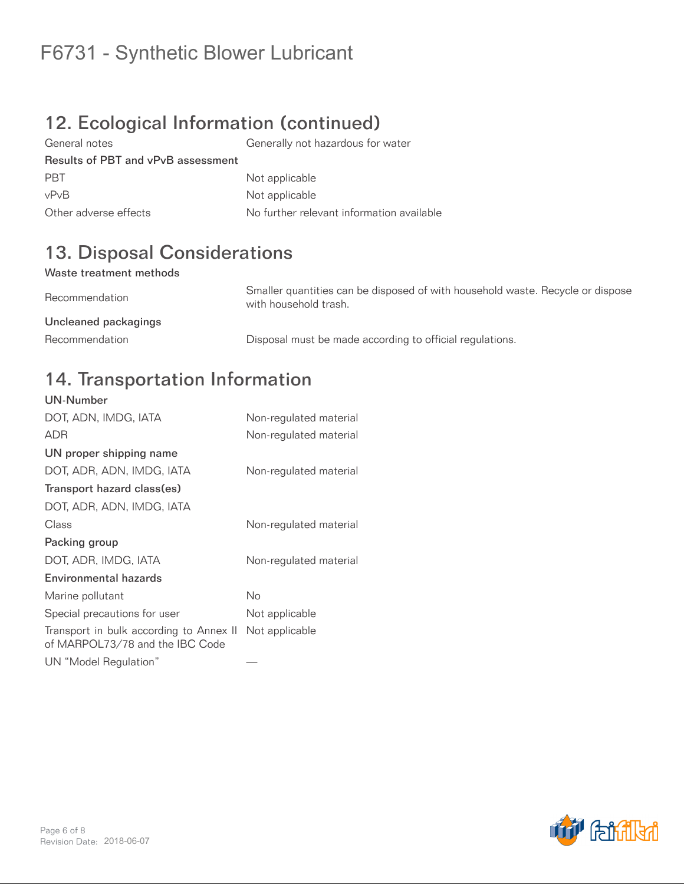## 12. Ecological Information (continued)

General notes Generally not hazardous for water Results of PBT and vPvB assessment PBT Not applicable vPvB Not applicable Other adverse effects No further relevant information available

## 13. Disposal Considerations

#### Waste treatment methods

Recommendation Smaller quantities can be disposed of with household waste. Recycle or dispose with household trash. Uncleaned packagings Recommendation **Disposal must be made according to official regulations.** 

#### 14. Transportation Information UN-Number

| UN-NUMBER                                                                  |                        |
|----------------------------------------------------------------------------|------------------------|
| DOT, ADN, IMDG, IATA                                                       | Non-regulated material |
| <b>ADR</b>                                                                 | Non-regulated material |
| UN proper shipping name                                                    |                        |
| DOT, ADR, ADN, IMDG, IATA                                                  | Non-regulated material |
| Transport hazard class(es)                                                 |                        |
| DOT, ADR, ADN, IMDG, IATA                                                  |                        |
| Class                                                                      | Non-regulated material |
| Packing group                                                              |                        |
| DOT, ADR, IMDG, IATA                                                       | Non-regulated material |
| Environmental hazards                                                      |                        |
| Marine pollutant                                                           | No                     |
| Special precautions for user                                               | Not applicable         |
| Transport in bulk according to Annex II<br>of MARPOL73/78 and the IBC Code | Not applicable         |
| UN "Model Regulation"                                                      |                        |

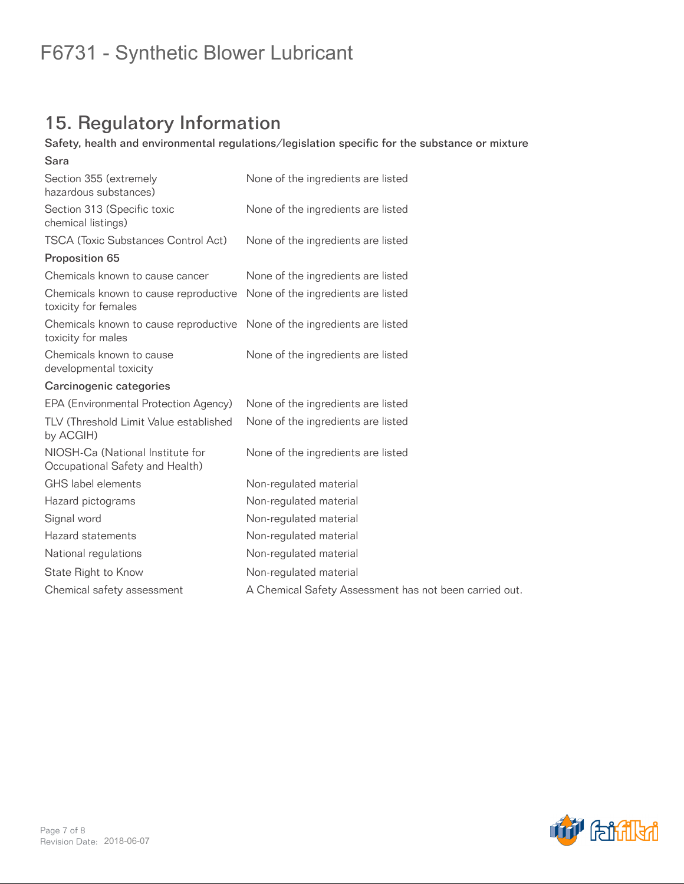## 15. Regulatory Information

#### Safety, health and environmental regulations/legislation specific for the substance or mixture

| Sara                                                                                           |                                                        |
|------------------------------------------------------------------------------------------------|--------------------------------------------------------|
| Section 355 (extremely<br>hazardous substances)                                                | None of the ingredients are listed                     |
| Section 313 (Specific toxic<br>chemical listings)                                              | None of the ingredients are listed                     |
| <b>TSCA (Toxic Substances Control Act)</b>                                                     | None of the ingredients are listed                     |
| Proposition 65                                                                                 |                                                        |
| Chemicals known to cause cancer                                                                | None of the ingredients are listed                     |
| Chemicals known to cause reproductive<br>toxicity for females                                  | None of the ingredients are listed                     |
| Chemicals known to cause reproductive None of the ingredients are listed<br>toxicity for males |                                                        |
| Chemicals known to cause<br>developmental toxicity                                             | None of the ingredients are listed                     |
| Carcinogenic categories                                                                        |                                                        |
| EPA (Environmental Protection Agency)                                                          | None of the ingredients are listed                     |
| TLV (Threshold Limit Value established<br>by ACGIH)                                            | None of the ingredients are listed                     |
| NIOSH-Ca (National Institute for<br>Occupational Safety and Health)                            | None of the ingredients are listed                     |
| GHS label elements                                                                             | Non-regulated material                                 |
| Hazard pictograms                                                                              | Non-regulated material                                 |
| Signal word                                                                                    | Non-regulated material                                 |
| Hazard statements                                                                              | Non-regulated material                                 |
| National regulations                                                                           | Non-regulated material                                 |
| State Right to Know                                                                            | Non-regulated material                                 |
| Chemical safety assessment                                                                     | A Chemical Safety Assessment has not been carried out. |
|                                                                                                |                                                        |